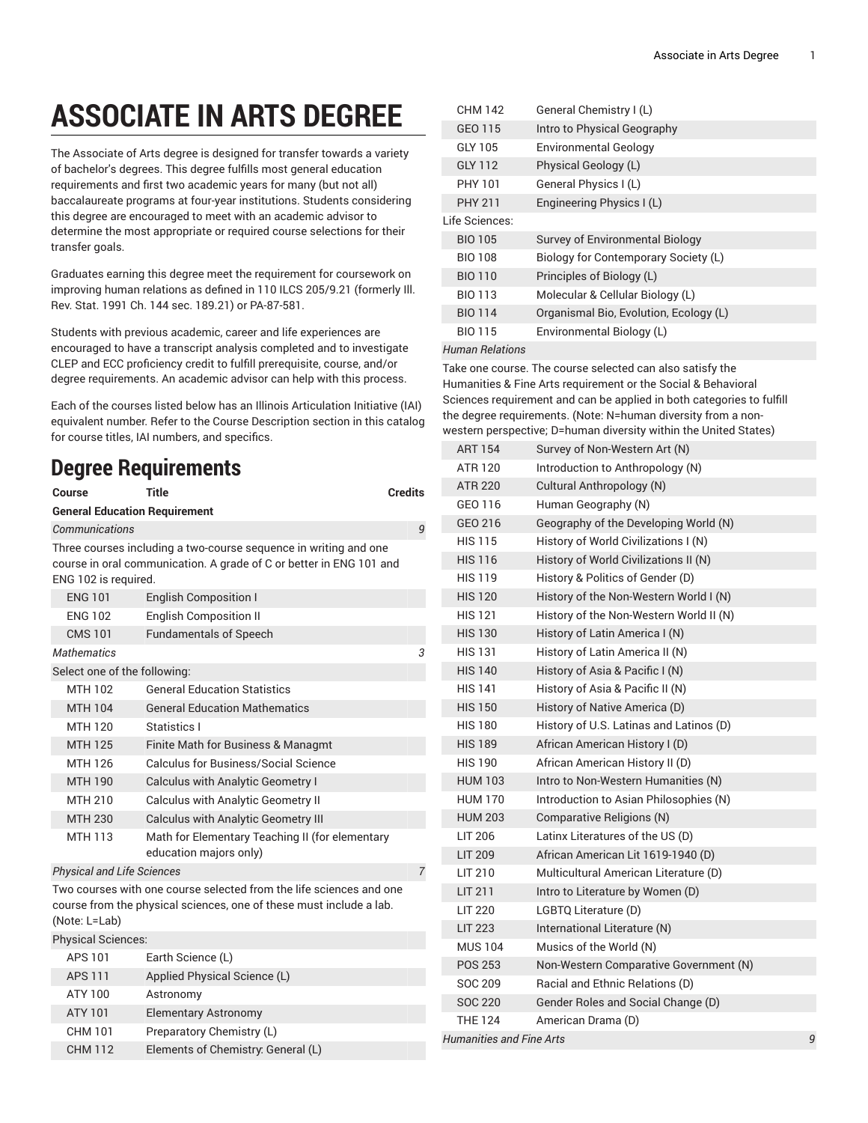## **ASSOCIATE IN ARTS DEGREE**

The Associate of Arts degree is designed for transfer towards a variety of bachelor's degrees. This degree fulfills most general education requirements and first two academic years for many (but not all) baccalaureate programs at four-year institutions. Students considering this degree are encouraged to meet with an academic advisor to determine the most appropriate or required course selections for their transfer goals.

Graduates earning this degree meet the requirement for coursework on improving human relations as defined in 110 ILCS 205/9.21 (formerly Ill. Rev. Stat. 1991 Ch. 144 sec. 189.21) or PA-87-581.

Students with previous academic, career and life experiences are encouraged to have a transcript analysis completed and to investigate CLEP and ECC proficiency credit to fulfill prerequisite, course, and/or degree requirements. An academic advisor can help with this process.

Each of the courses listed below has an Illinois Articulation Initiative (IAI) equivalent number. Refer to the Course Description section in this catalog for course titles, IAI numbers, and specifics.

## **Degree Requirements**

| Course                                                                                                                                                      | Title                                                                                                                                   | <b>Credits</b> |  |  |
|-------------------------------------------------------------------------------------------------------------------------------------------------------------|-----------------------------------------------------------------------------------------------------------------------------------------|----------------|--|--|
| <b>General Education Requirement</b>                                                                                                                        |                                                                                                                                         |                |  |  |
| Communications                                                                                                                                              |                                                                                                                                         | 9              |  |  |
| ENG 102 is required.                                                                                                                                        | Three courses including a two-course sequence in writing and one<br>course in oral communication. A grade of C or better in ENG 101 and |                |  |  |
| <b>ENG 101</b>                                                                                                                                              | <b>English Composition I</b>                                                                                                            |                |  |  |
| <b>ENG 102</b>                                                                                                                                              | <b>English Composition II</b>                                                                                                           |                |  |  |
| <b>CMS 101</b>                                                                                                                                              | <b>Fundamentals of Speech</b>                                                                                                           |                |  |  |
| <b>Mathematics</b>                                                                                                                                          |                                                                                                                                         | 3              |  |  |
| Select one of the following:                                                                                                                                |                                                                                                                                         |                |  |  |
| MTH 102                                                                                                                                                     | <b>General Education Statistics</b>                                                                                                     |                |  |  |
| <b>MTH 104</b>                                                                                                                                              | <b>General Education Mathematics</b>                                                                                                    |                |  |  |
| <b>MTH 120</b>                                                                                                                                              | Statistics I                                                                                                                            |                |  |  |
| <b>MTH 125</b>                                                                                                                                              | Finite Math for Business & Managmt                                                                                                      |                |  |  |
| MTH 126                                                                                                                                                     | <b>Calculus for Business/Social Science</b>                                                                                             |                |  |  |
| <b>MTH 190</b>                                                                                                                                              | Calculus with Analytic Geometry I                                                                                                       |                |  |  |
| MTH 210                                                                                                                                                     | <b>Calculus with Analytic Geometry II</b>                                                                                               |                |  |  |
| <b>MTH 230</b>                                                                                                                                              | <b>Calculus with Analytic Geometry III</b>                                                                                              |                |  |  |
| MTH 113                                                                                                                                                     | Math for Elementary Teaching II (for elementary<br>education majors only)                                                               |                |  |  |
| <b>Physical and Life Sciences</b>                                                                                                                           |                                                                                                                                         | $\overline{7}$ |  |  |
| Two courses with one course selected from the life sciences and one<br>course from the physical sciences, one of these must include a lab.<br>(Note: L=Lab) |                                                                                                                                         |                |  |  |
| <b>Physical Sciences:</b>                                                                                                                                   |                                                                                                                                         |                |  |  |
| APS 101                                                                                                                                                     | Earth Science (L)                                                                                                                       |                |  |  |
| <b>APS 111</b>                                                                                                                                              | Applied Physical Science (L)                                                                                                            |                |  |  |
| ATY 100                                                                                                                                                     | Astronomy                                                                                                                               |                |  |  |
| ATY 101                                                                                                                                                     | <b>Elementary Astronomy</b>                                                                                                             |                |  |  |

CHM 101 Preparatory Chemistry (L)

CHM 112 Elements of Chemistry: General (L)

|  | <b>CHM 142</b>         | General Chemistry I (L)                |
|--|------------------------|----------------------------------------|
|  | GEO 115                | Intro to Physical Geography            |
|  | GLY 105                | <b>Environmental Geology</b>           |
|  | <b>GLY 112</b>         | Physical Geology (L)                   |
|  | PHY 101                | General Physics I (L)                  |
|  | <b>PHY 211</b>         | Engineering Physics I (L)              |
|  | Life Sciences:         |                                        |
|  | <b>BIO 105</b>         | <b>Survey of Environmental Biology</b> |
|  | <b>BIO 108</b>         | Biology for Contemporary Society (L)   |
|  | <b>BIO 110</b>         | Principles of Biology (L)              |
|  | <b>BIO 113</b>         | Molecular & Cellular Biology (L)       |
|  | <b>BIO 114</b>         | Organismal Bio, Evolution, Ecology (L) |
|  | <b>BIO 115</b>         | Environmental Biology (L)              |
|  | <b>Human Relations</b> |                                        |

Take one course. The course selected can also satisfy the Humanities & Fine Arts requirement or the Social & Behavioral Sciences requirement and can be applied in both categories to fulfill the degree requirements. (Note: N=human diversity from a nonwestern perspective; D=human diversity within the United States)

| <b>ART 154</b>           | Survey of Non-Western Art (N)           |   |
|--------------------------|-----------------------------------------|---|
| ATR 120                  | Introduction to Anthropology (N)        |   |
| <b>ATR 220</b>           | Cultural Anthropology (N)               |   |
| GEO 116                  | Human Geography (N)                     |   |
| GEO 216                  | Geography of the Developing World (N)   |   |
| <b>HIS 115</b>           | History of World Civilizations I (N)    |   |
| <b>HIS 116</b>           | History of World Civilizations II (N)   |   |
| <b>HIS 119</b>           | History & Politics of Gender (D)        |   |
| <b>HIS 120</b>           | History of the Non-Western World I (N)  |   |
| <b>HIS 121</b>           | History of the Non-Western World II (N) |   |
| <b>HIS 130</b>           | History of Latin America I (N)          |   |
| <b>HIS 131</b>           | History of Latin America II (N)         |   |
| <b>HIS 140</b>           | History of Asia & Pacific I (N)         |   |
| <b>HIS 141</b>           | History of Asia & Pacific II (N)        |   |
| <b>HIS 150</b>           | History of Native America (D)           |   |
| <b>HIS 180</b>           | History of U.S. Latinas and Latinos (D) |   |
| <b>HIS 189</b>           | African American History I (D)          |   |
| <b>HIS 190</b>           | African American History II (D)         |   |
| <b>HUM 103</b>           | Intro to Non-Western Humanities (N)     |   |
| <b>HUM 170</b>           | Introduction to Asian Philosophies (N)  |   |
| <b>HUM 203</b>           | Comparative Religions (N)               |   |
| LIT 206                  | Latinx Literatures of the US (D)        |   |
| <b>LIT 209</b>           | African American Lit 1619-1940 (D)      |   |
| LIT 210                  | Multicultural American Literature (D)   |   |
| <b>LIT 211</b>           | Intro to Literature by Women (D)        |   |
| <b>LIT 220</b>           | LGBTQ Literature (D)                    |   |
| <b>LIT 223</b>           | International Literature (N)            |   |
| <b>MUS 104</b>           | Musics of the World (N)                 |   |
| <b>POS 253</b>           | Non-Western Comparative Government (N)  |   |
| SOC 209                  | Racial and Ethnic Relations (D)         |   |
| <b>SOC 220</b>           | Gender Roles and Social Change (D)      |   |
| <b>THE 124</b>           | American Drama (D)                      |   |
| Humanities and Fine Arts |                                         | 9 |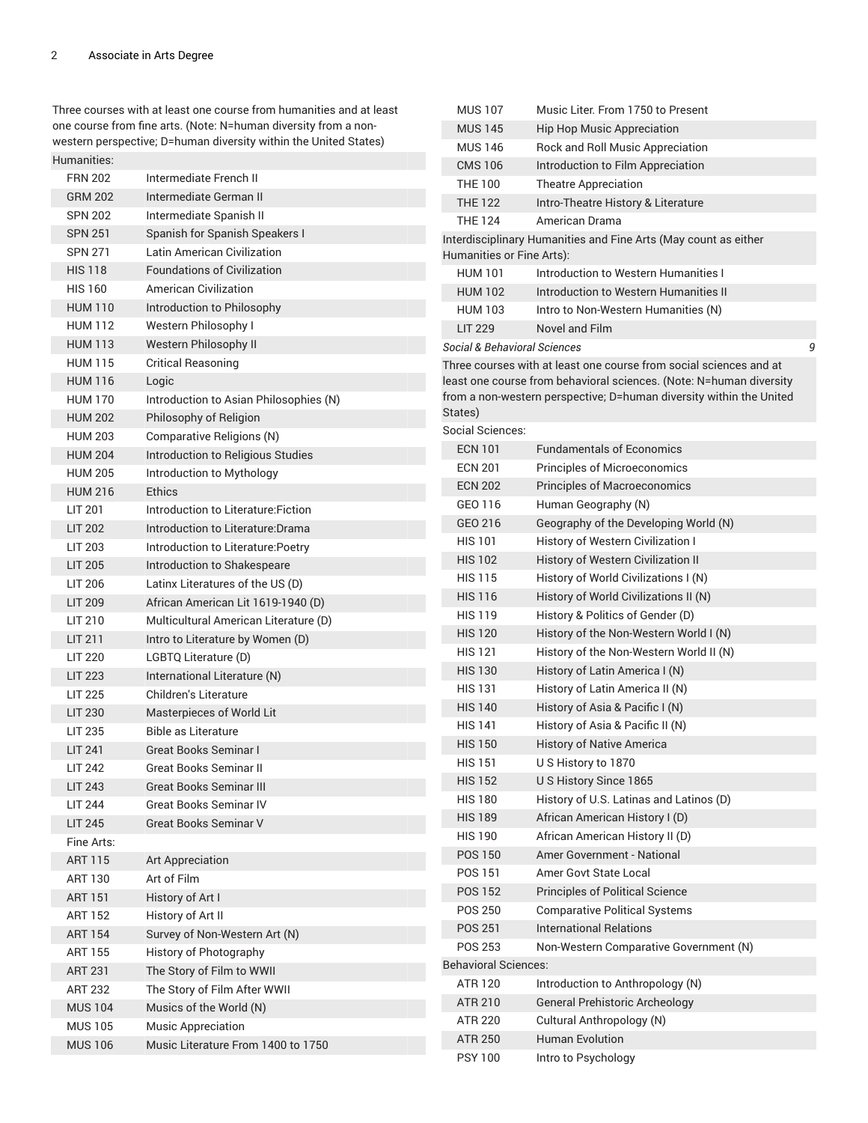Three courses with at least one course from humanities and at least one course from fine arts. (Note: N=human diversity from a nonwestern perspective; D=human diversity within the United States) Humanities:

| <b>FRN 202</b> | Intermediate French II                 |
|----------------|----------------------------------------|
| <b>GRM 202</b> | Intermediate German II                 |
| <b>SPN 202</b> | Intermediate Spanish II                |
| <b>SPN 251</b> | Spanish for Spanish Speakers I         |
| <b>SPN 271</b> | Latin American Civilization            |
| <b>HIS 118</b> | <b>Foundations of Civilization</b>     |
| <b>HIS 160</b> | American Civilization                  |
| <b>HUM 110</b> | Introduction to Philosophy             |
| <b>HUM 112</b> | Western Philosophy I                   |
| <b>HUM 113</b> | Western Philosophy II                  |
| <b>HUM 115</b> | <b>Critical Reasoning</b>              |
| <b>HUM 116</b> | Logic                                  |
| <b>HUM 170</b> | Introduction to Asian Philosophies (N) |
| <b>HUM 202</b> | Philosophy of Religion                 |
| <b>HUM 203</b> | Comparative Religions (N)              |
| <b>HUM 204</b> | Introduction to Religious Studies      |
| <b>HUM 205</b> | Introduction to Mythology              |
| <b>HUM 216</b> | Ethics                                 |
| LIT 201        | Introduction to Literature: Fiction    |
| <b>LIT 202</b> | Introduction to Literature: Drama      |
| <b>LIT 203</b> | Introduction to Literature: Poetry     |
| <b>LIT 205</b> | Introduction to Shakespeare            |
| LIT 206        | Latinx Literatures of the US (D)       |
| <b>LIT 209</b> | African American Lit 1619-1940 (D)     |
| LIT 210        | Multicultural American Literature (D)  |
| LIT 211        | Intro to Literature by Women (D)       |
| <b>LIT 220</b> | LGBTQ Literature (D)                   |
| <b>LIT 223</b> | International Literature (N)           |
| <b>LIT 225</b> | Children's Literature                  |
| <b>LIT 230</b> | Masterpieces of World Lit              |
| <b>LIT 235</b> | <b>Bible as Literature</b>             |
| <b>LIT 241</b> | <b>Great Books Seminar I</b>           |
| <b>LIT 242</b> | <b>Great Books Seminar II</b>          |
| <b>LIT 243</b> | <b>Great Books Seminar III</b>         |
| <b>LIT 244</b> | <b>Great Books Seminar IV</b>          |
| <b>LIT 245</b> | <b>Great Books Seminar V</b>           |
| Fine Arts:     |                                        |
| <b>ART 115</b> | <b>Art Appreciation</b>                |
| ART 130        | Art of Film                            |
| ART 151        | History of Art I                       |
| <b>ART 152</b> | History of Art II                      |
| <b>ART 154</b> | Survey of Non-Western Art (N)          |
| ART 155        | History of Photography                 |
| <b>ART 231</b> | The Story of Film to WWII              |
| <b>ART 232</b> | The Story of Film After WWII           |
| <b>MUS 104</b> | Musics of the World (N)                |
| <b>MUS 105</b> | <b>Music Appreciation</b>              |
| <b>MUS 106</b> | Music Literature From 1400 to 1750     |

| <b>MUS 107</b>              | Music Liter. From 1750 to Present                                                                                                                                                                                |
|-----------------------------|------------------------------------------------------------------------------------------------------------------------------------------------------------------------------------------------------------------|
| <b>MUS 145</b>              | <b>Hip Hop Music Appreciation</b>                                                                                                                                                                                |
| <b>MUS 146</b>              | Rock and Roll Music Appreciation                                                                                                                                                                                 |
| <b>CMS 106</b>              | Introduction to Film Appreciation                                                                                                                                                                                |
| THF 100                     | <b>Theatre Appreciation</b>                                                                                                                                                                                      |
| <b>THF 122</b>              | Intro-Theatre History & Literature                                                                                                                                                                               |
| <b>THE 124</b>              | American Drama                                                                                                                                                                                                   |
|                             | Interdisciplinary Humanities and Fine Arts (May count as either<br>Humanities or Fine Arts):                                                                                                                     |
| <b>HUM 101</b>              | Introduction to Western Humanities I                                                                                                                                                                             |
| <b>HUM 102</b>              | Introduction to Western Humanities II                                                                                                                                                                            |
| <b>HUM 103</b>              | Intro to Non-Western Humanities (N)                                                                                                                                                                              |
| <b>LIT 229</b>              | Novel and Film                                                                                                                                                                                                   |
|                             | Social & Behavioral Sciences<br>9                                                                                                                                                                                |
| States)                     | Three courses with at least one course from social sciences and at<br>least one course from behavioral sciences. (Note: N=human diversity<br>from a non-western perspective; D=human diversity within the United |
| Social Sciences:            |                                                                                                                                                                                                                  |
| <b>ECN 101</b>              | <b>Fundamentals of Economics</b>                                                                                                                                                                                 |
| <b>ECN 201</b>              | <b>Principles of Microeconomics</b>                                                                                                                                                                              |
| <b>ECN 202</b>              | <b>Principles of Macroeconomics</b>                                                                                                                                                                              |
| GFO 116                     | Human Geography (N)                                                                                                                                                                                              |
| GEO 216                     | Geography of the Developing World (N)                                                                                                                                                                            |
| <b>HIS 101</b>              | History of Western Civilization I                                                                                                                                                                                |
| <b>HIS 102</b>              | <b>History of Western Civilization II</b>                                                                                                                                                                        |
| <b>HIS 115</b>              | History of World Civilizations I (N)                                                                                                                                                                             |
| <b>HIS 116</b>              | History of World Civilizations II (N)                                                                                                                                                                            |
| <b>HIS 119</b>              | History & Politics of Gender (D)                                                                                                                                                                                 |
| <b>HIS 120</b>              | History of the Non-Western World I (N)                                                                                                                                                                           |
| <b>HIS 121</b>              | History of the Non-Western World II (N)                                                                                                                                                                          |
| <b>HIS 130</b>              | History of Latin America I (N)                                                                                                                                                                                   |
| <b>HIS 131</b>              | History of Latin America II (N)                                                                                                                                                                                  |
| <b>HIS 140</b>              | History of Asia & Pacific I (N)                                                                                                                                                                                  |
| <b>HIS 141</b>              | History of Asia & Pacific II (N)                                                                                                                                                                                 |
| <b>HIS 150</b>              | <b>History of Native America</b>                                                                                                                                                                                 |
| <b>HIS 151</b>              | USHistory to 1870                                                                                                                                                                                                |
| <b>HIS 152</b>              | U S History Since 1865                                                                                                                                                                                           |
| <b>HIS 180</b>              | History of U.S. Latinas and Latinos (D)                                                                                                                                                                          |
| <b>HIS 189</b>              | African American History I (D)                                                                                                                                                                                   |
| <b>HIS 190</b>              | African American History II (D)                                                                                                                                                                                  |
| <b>POS 150</b>              | Amer Government - National                                                                                                                                                                                       |
| POS 151                     | Amer Govt State Local                                                                                                                                                                                            |
| <b>POS 152</b>              | <b>Principles of Political Science</b>                                                                                                                                                                           |
| <b>POS 250</b>              | <b>Comparative Political Systems</b>                                                                                                                                                                             |
| <b>POS 251</b>              | <b>International Relations</b>                                                                                                                                                                                   |
| POS 253                     | Non-Western Comparative Government (N)                                                                                                                                                                           |
| <b>Behavioral Sciences:</b> |                                                                                                                                                                                                                  |
| ATR 120                     | Introduction to Anthropology (N)                                                                                                                                                                                 |
| ATR 210                     | <b>General Prehistoric Archeology</b>                                                                                                                                                                            |
| ATR 220                     | Cultural Anthropology (N)                                                                                                                                                                                        |
| <b>ATR 250</b>              | <b>Human Evolution</b>                                                                                                                                                                                           |
| <b>PSY 100</b>              | Intro to Psychology                                                                                                                                                                                              |